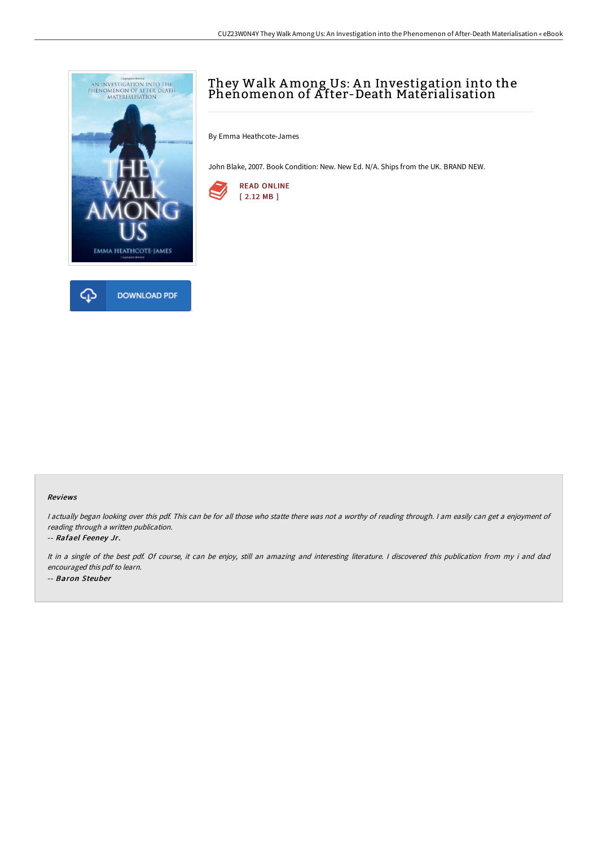

# They Walk Among Us: A n Investigation into the Phenomenon of After-Death Materialisation

By Emma Heathcote-James

John Blake, 2007. Book Condition: New. New Ed. N/A. Ships from the UK. BRAND NEW.



#### Reviews

I actually began looking over this pdf. This can be for all those who statte there was not a worthy of reading through. I am easily can get a enjoyment of reading through <sup>a</sup> written publication.

### -- Rafael Feeney Jr.

It in <sup>a</sup> single of the best pdf. Of course, it can be enjoy, still an amazing and interesting literature. <sup>I</sup> discovered this publication from my i and dad encouraged this pdf to learn. -- Baron Steuber